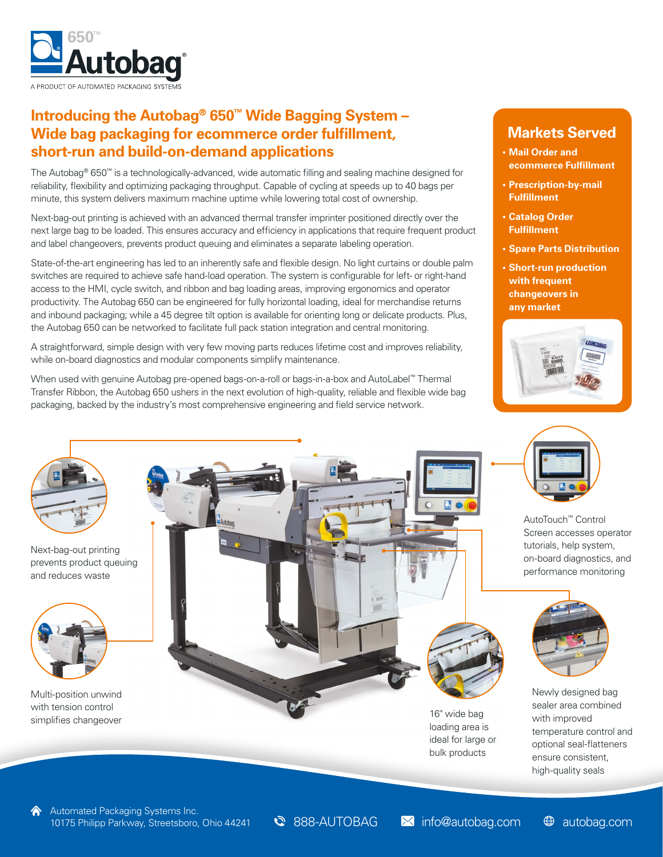

## **Introducing the Autobag® 650™ Wide Bagging System – Wide bag packaging for ecommerce order fulfillment, short-run and build-on-demand applications**

The Autobag® 650™ is a technologically-advanced, wide automatic filling and sealing machine designed for reliability, flexibility and optimizing packaging throughput. Capable of cycling at speeds up to 40 bags per minute, this system delivers maximum machine uptime while lowering total cost of ownership.

Next-bag-out printing is achieved with an advanced thermal transfer imprinter positioned directly over the next large bag to be loaded. This ensures accuracy and efficiency in applications that require frequent product and label changeovers, prevents product queuing and eliminates a separate labeling operation.

State-of-the-art engineering has led to an inherently safe and flexible design. No light curtains or double palm switches are required to achieve safe hand-load operation. The system is configurable for left- or right-hand access to the HMI, cycle switch, and ribbon and bag loading areas, improving ergonomics and operator productivity. The Autobag 650 can be engineered for fully horizontal loading, ideal for merchandise returns and inbound packaging; while a 45 degree tilt option is available for orienting long or delicate products. Plus, the Autobag 650 can be networked to facilitate full pack station integration and central monitoring.

A straightforward, simple design with very few moving parts reduces lifetime cost and improves reliability, while on-board diagnostics and modular components simplify maintenance.

When used with genuine Autobag pre-opened bags-on-a-roll or bags-in-a-box and AutoLabel™ Thermal Transfer Ribbon, the Autobag 650 ushers in the next evolution of high-quality, reliable and flexible wide bag packaging, backed by the industry's most comprehensive engineering and field service network.

### **Markets Served**

- **• Mail Order and ecommerce Fulfillment**
- **• Prescription-by-mail Fulfillment**
- **• Catalog Order Fulfillment**
- **• Spare Parts Distribution**
- **• Short-run production with frequent changeovers in any market**





AutoTouch™ Control Screen accesses operator tutorials, help system, on-board diagnostics, and performance monitoring



Newly designed bag sealer area combined with improved temperature control and optional seal-flatteners ensure consistent, high-quality seals



Next-bag-out printing prevents product queuing and reduces waste



Multi-position unwind with tension control simplifies changeover the control of the change of the change of the change of the change of the change of the change of the change of the change of the change of the change of the change of the change of the change of the



loading area is ideal for large or bulk products

Sabbag.com **info@autobag.com**